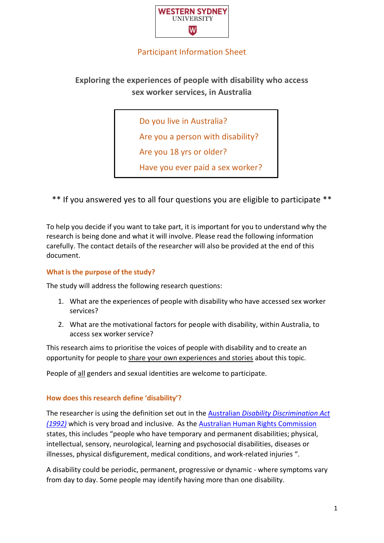

# Participant Information Sheet

# **Exploring the experiences of people with disability who access sex worker services, in Australia**

Do you live in Australia?

Are you a person with disability?

Are you 18 yrs or older?

Have you ever paid a sex worker?

\*\* If you answered yes to all four questions you are eligible to participate \*\*

To help you decide if you want to take part, it is important for you to understand why the research is being done and what it will involve. Please read the following information carefully. The contact details of the researcher will also be provided at the end of this document.

#### **What is the purpose of the study?**

The study will address the following research questions:

- 1. What are the experiences of people with disability who have accessed sex worker services?
- 2. What are the motivational factors for people with disability, within Australia, to access sex worker service?

This research aims to prioritise the voices of people with disability and to create an opportunity for people to share your own experiences and stories about this topic.

People of all genders and sexual identities are welcome to participate.

#### **How does this research define 'disability'?**

The researcher is using the definition set out in the Australian *[Disability Discrimination Act](https://www.and.org.au/pages/what-is-a-disability.html)  [\(1992\)](https://www.and.org.au/pages/what-is-a-disability.html)* which is very broad and inclusive. As the [Australian Human Rights Commission](https://humanrights.gov.au/our-work/employers/disability-discrimination) states, this includes "people who have temporary and permanent disabilities; physical, intellectual, sensory, neurological, learning and psychosocial disabilities, diseases or illnesses, physical disfigurement, medical conditions, and work-related injuries ".

A disability could be periodic, permanent, progressive or dynamic - where symptoms vary from day to day. Some people may identify having more than one disability.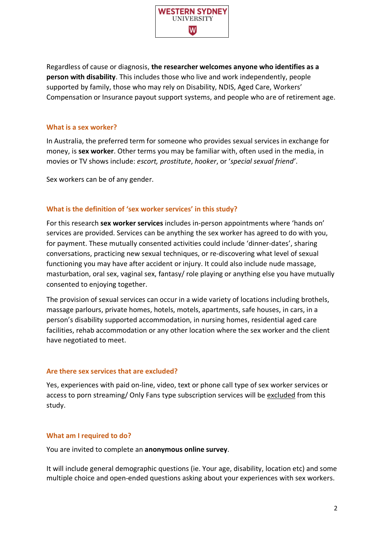

Regardless of cause or diagnosis, **the researcher welcomes anyone who identifies as a person with disability**. This includes those who live and work independently, people supported by family, those who may rely on Disability, NDIS, Aged Care, Workers' Compensation or Insurance payout support systems, and people who are of retirement age.

#### **What is a sex worker?**

In Australia, the preferred term for someone who provides sexual services in exchange for money, is **sex worker**. Other terms you may be familiar with, often used in the media, in movies or TV shows include: *escort, prostitute*, *hooker*, or '*special sexual friend'*.

Sex workers can be of any gender.

## **What is the definition of 'sex worker services' in this study?**

For this research **sex worker services** includes in-person appointments where 'hands on' services are provided. Services can be anything the sex worker has agreed to do with you, for payment. These mutually consented activities could include 'dinner-dates', sharing conversations, practicing new sexual techniques, or re-discovering what level of sexual functioning you may have after accident or injury. It could also include nude massage, masturbation, oral sex, vaginal sex, fantasy/ role playing or anything else you have mutually consented to enjoying together.

The provision of sexual services can occur in a wide variety of locations including brothels, massage parlours, private homes, hotels, motels, apartments, safe houses, in cars, in a person's disability supported accommodation, in nursing homes, residential aged care facilities, rehab accommodation or any other location where the sex worker and the client have negotiated to meet.

## **Are there sex services that are excluded?**

Yes, experiences with paid on-line, video, text or phone call type of sex worker services or access to porn streaming/ Only Fans type subscription services will be excluded from this study.

## **What am I required to do?**

You are invited to complete an **anonymous online survey**.

It will include general demographic questions (ie. Your age, disability, location etc) and some multiple choice and open-ended questions asking about your experiences with sex workers.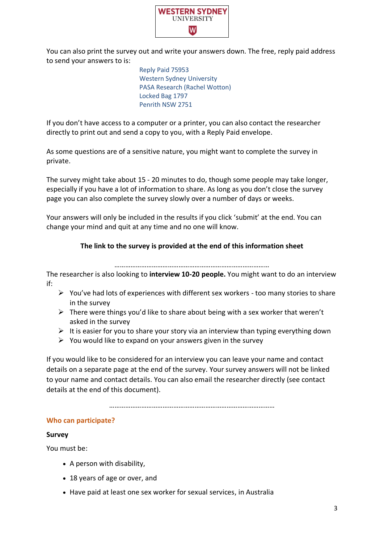

You can also print the survey out and write your answers down. The free, reply paid address to send your answers to is:

> Reply Paid 75953 Western Sydney University PASA Research (Rachel Wotton) Locked Bag 1797 Penrith NSW 2751

If you don't have access to a computer or a printer, you can also contact the researcher directly to print out and send a copy to you, with a Reply Paid envelope.

As some questions are of a sensitive nature, you might want to complete the survey in private.

The survey might take about 15 - 20 minutes to do, though some people may take longer, especially if you have a lot of information to share. As long as you don't close the survey page you can also complete the survey slowly over a number of days or weeks.

Your answers will only be included in the results if you click 'submit' at the end. You can change your mind and quit at any time and no one will know.

# **The link to the survey is provided at the end of this information sheet**

……………………………………………………………………………

The researcher is also looking to **interview 10-20 people.** You might want to do an interview if:

- $\triangleright$  You've had lots of experiences with different sex workers too many stories to share in the survey
- $\triangleright$  There were things you'd like to share about being with a sex worker that weren't asked in the survey
- $\triangleright$  It is easier for you to share your story via an interview than typing everything down
- $\triangleright$  You would like to expand on your answers given in the survey

If you would like to be considered for an interview you can leave your name and contact details on a separate page at the end of the survey. Your survey answers will not be linked to your name and contact details. You can also email the researcher directly (see contact details at the end of this document).

…………………………………………………………………………………

#### **Who can participate?**

#### **Survey**

You must be:

- A person with disability,
- 18 years of age or over, and
- Have paid at least one sex worker for sexual services, in Australia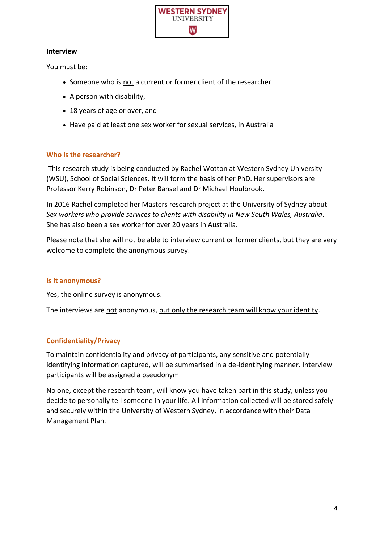

#### **Interview**

You must be:

- Someone who is not a current or former client of the researcher
- A person with disability,
- 18 years of age or over, and
- Have paid at least one sex worker for sexual services, in Australia

## **Who is the researcher?**

This research study is being conducted by Rachel Wotton at Western Sydney University (WSU), School of Social Sciences. It will form the basis of her PhD. Her supervisors are Professor Kerry Robinson, Dr Peter Bansel and Dr Michael Houlbrook.

In 2016 Rachel completed her Masters research project at the University of Sydney about *Sex workers who provide services to clients with disability in New South Wales, Australia*. She has also been a sex worker for over 20 years in Australia.

Please note that she will not be able to interview current or former clients, but they are very welcome to complete the anonymous survey.

## **Is it anonymous?**

Yes, the online survey is anonymous.

The interviews are not anonymous, but only the research team will know your identity.

# **Confidentiality/Privacy**

To maintain confidentiality and privacy of participants, any sensitive and potentially identifying information captured, will be summarised in a de-identifying manner. Interview participants will be assigned a pseudonym

No one, except the research team, will know you have taken part in this study, unless you decide to personally tell someone in your life. All information collected will be stored safely and securely within the University of Western Sydney, in accordance with their Data Management Plan.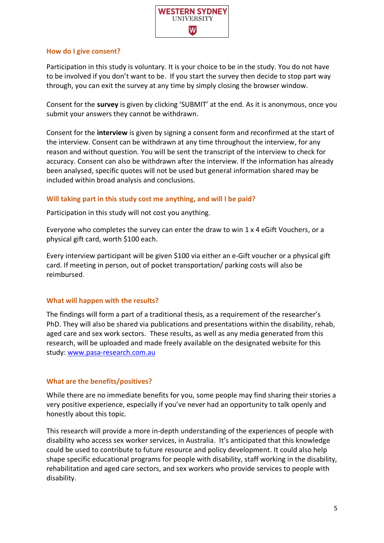

#### **How do I give consent?**

Participation in this study is voluntary. It is your choice to be in the study. You do not have to be involved if you don't want to be. If you start the survey then decide to stop part way through, you can exit the survey at any time by simply closing the browser window.

Consent for the **survey** is given by clicking 'SUBMIT' at the end. As it is anonymous, once you submit your answers they cannot be withdrawn.

Consent for the **interview** is given by signing a consent form and reconfirmed at the start of the interview. Consent can be withdrawn at any time throughout the interview, for any reason and without question. You will be sent the transcript of the interview to check for accuracy. Consent can also be withdrawn after the interview. If the information has already been analysed, specific quotes will not be used but general information shared may be included within broad analysis and conclusions.

## **Will taking part in this study cost me anything, and will I be paid?**

Participation in this study will not cost you anything.

Everyone who completes the survey can enter the draw to win 1 x 4 eGift Vouchers, or a physical gift card, worth \$100 each.

Every interview participant will be given \$100 via either an e-Gift voucher or a physical gift card. If meeting in person, out of pocket transportation/ parking costs will also be reimbursed.

#### **What will happen with the results?**

The findings will form a part of a traditional thesis, as a requirement of the researcher's PhD. They will also be shared via publications and presentations within the disability, rehab, aged care and sex work sectors. These results, as well as any media generated from this research, will be uploaded and made freely available on the designated website for this study[: www.pasa-research.com.au](http://www.pasa-research.com.au/)

## **What are the benefits/positives?**

While there are no immediate benefits for you, some people may find sharing their stories a very positive experience, especially if you've never had an opportunity to talk openly and honestly about this topic.

This research will provide a more in-depth understanding of the experiences of people with disability who access sex worker services, in Australia. It's anticipated that this knowledge could be used to contribute to future resource and policy development. It could also help shape specific educational programs for people with disability, staff working in the disability, rehabilitation and aged care sectors, and sex workers who provide services to people with disability.